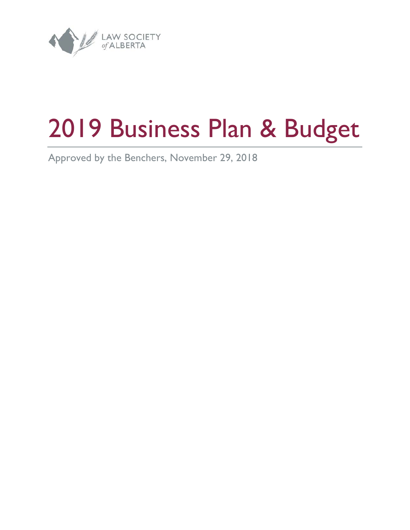

# 2019 Business Plan & Budget

Approved by the Benchers, November 29, 2018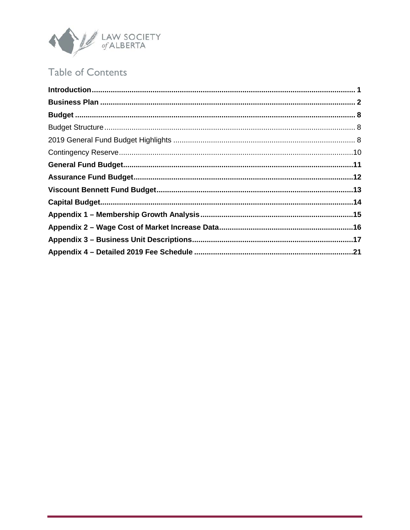

# **Table of Contents**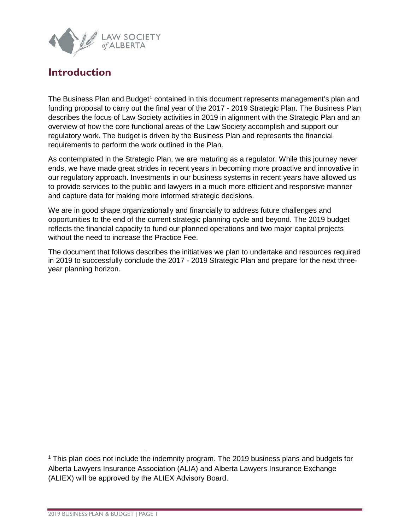

### <span id="page-2-0"></span>**Introduction**

The Business Plan and Budget<sup>[1](#page-2-1)</sup> contained in this document represents management's plan and funding proposal to carry out the final year of the 2017 - 2019 Strategic Plan. The Business Plan describes the focus of Law Society activities in 2019 in alignment with the Strategic Plan and an overview of how the core functional areas of the Law Society accomplish and support our regulatory work. The budget is driven by the Business Plan and represents the financial requirements to perform the work outlined in the Plan.

As contemplated in the Strategic Plan, we are maturing as a regulator. While this journey never ends, we have made great strides in recent years in becoming more proactive and innovative in our regulatory approach. Investments in our business systems in recent years have allowed us to provide services to the public and lawyers in a much more efficient and responsive manner and capture data for making more informed strategic decisions.

We are in good shape organizationally and financially to address future challenges and opportunities to the end of the current strategic planning cycle and beyond. The 2019 budget reflects the financial capacity to fund our planned operations and two major capital projects without the need to increase the Practice Fee.

The document that follows describes the initiatives we plan to undertake and resources required in 2019 to successfully conclude the 2017 - 2019 Strategic Plan and prepare for the next threeyear planning horizon.

<span id="page-2-1"></span> <sup>1</sup> This plan does not include the indemnity program. The 2019 business plans and budgets for Alberta Lawyers Insurance Association (ALIA) and Alberta Lawyers Insurance Exchange (ALIEX) will be approved by the ALIEX Advisory Board.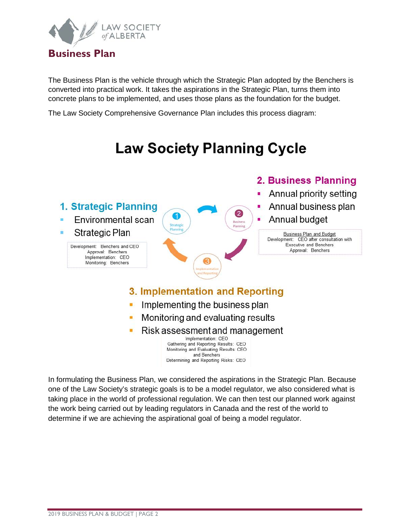

<span id="page-3-0"></span>The Business Plan is the vehicle through which the Strategic Plan adopted by the Benchers is converted into practical work. It takes the aspirations in the Strategic Plan, turns them into concrete plans to be implemented, and uses those plans as the foundation for the budget.

The Law Society Comprehensive Governance Plan includes this process diagram:

# **Law Society Planning Cycle**



In formulating the Business Plan, we considered the aspirations in the Strategic Plan. Because one of the Law Society's strategic goals is to be a model regulator, we also considered what is taking place in the world of professional regulation. We can then test our planned work against the work being carried out by leading regulators in Canada and the rest of the world to determine if we are achieving the aspirational goal of being a model regulator.

Determining and Reporting Risks: CEO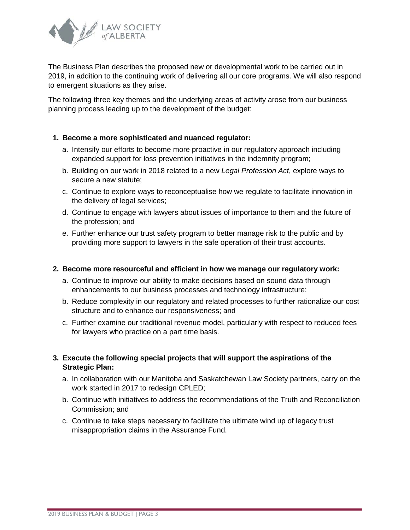

The Business Plan describes the proposed new or developmental work to be carried out in 2019, in addition to the continuing work of delivering all our core programs. We will also respond to emergent situations as they arise.

The following three key themes and the underlying areas of activity arose from our business planning process leading up to the development of the budget:

#### **1. Become a more sophisticated and nuanced regulator:**

- a. Intensify our efforts to become more proactive in our regulatory approach including expanded support for loss prevention initiatives in the indemnity program;
- b. Building on our work in 2018 related to a new *Legal Profession Act*, explore ways to secure a new statute;
- c. Continue to explore ways to reconceptualise how we regulate to facilitate innovation in the delivery of legal services;
- d. Continue to engage with lawyers about issues of importance to them and the future of the profession; and
- e. Further enhance our trust safety program to better manage risk to the public and by providing more support to lawyers in the safe operation of their trust accounts.

#### **2. Become more resourceful and efficient in how we manage our regulatory work:**

- a. Continue to improve our ability to make decisions based on sound data through enhancements to our business processes and technology infrastructure;
- b. Reduce complexity in our regulatory and related processes to further rationalize our cost structure and to enhance our responsiveness; and
- c. Further examine our traditional revenue model, particularly with respect to reduced fees for lawyers who practice on a part time basis.

#### **3. Execute the following special projects that will support the aspirations of the Strategic Plan:**

- a. In collaboration with our Manitoba and Saskatchewan Law Society partners, carry on the work started in 2017 to redesign CPLED:
- b. Continue with initiatives to address the recommendations of the Truth and Reconciliation Commission; and
- c. Continue to take steps necessary to facilitate the ultimate wind up of legacy trust misappropriation claims in the Assurance Fund.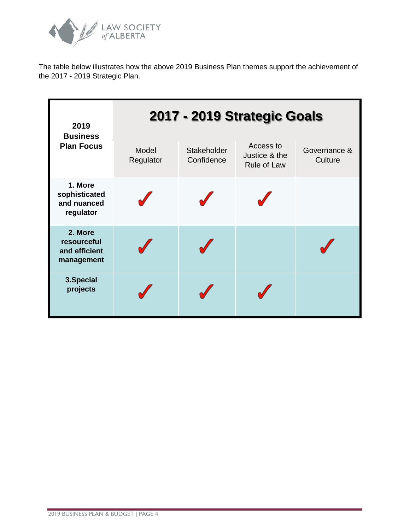

The table below illustrates how the above 2019 Business Plan themes support the achievement of the 2017 - 2019 Strategic Plan.

| 2019                                                  |                    |                           | 2017 - 2019 Strategic Goals               |                         |
|-------------------------------------------------------|--------------------|---------------------------|-------------------------------------------|-------------------------|
| <b>Business</b><br><b>Plan Focus</b>                  | Model<br>Regulator | Stakeholder<br>Confidence | Access to<br>Justice & the<br>Rule of Law | Governance &<br>Culture |
| 1. More<br>sophisticated<br>and nuanced<br>regulator  |                    |                           |                                           |                         |
| 2. More<br>resourceful<br>and efficient<br>management |                    |                           |                                           |                         |
| 3.Special<br>projects                                 |                    |                           |                                           |                         |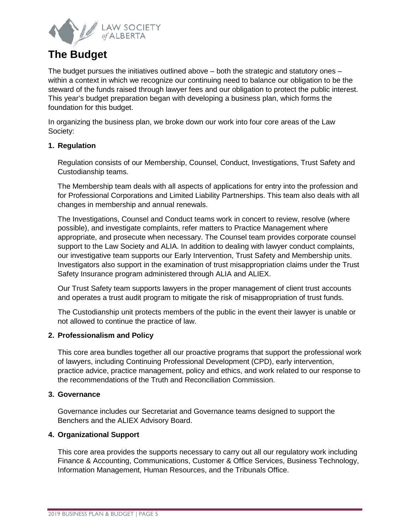

## **The Budget**

The budget pursues the initiatives outlined above – both the strategic and statutory ones – within a context in which we recognize our continuing need to balance our obligation to be the steward of the funds raised through lawyer fees and our obligation to protect the public interest. This year's budget preparation began with developing a business plan, which forms the foundation for this budget.

In organizing the business plan, we broke down our work into four core areas of the Law Society:

#### **1. Regulation**

Regulation consists of our Membership, Counsel, Conduct, Investigations, Trust Safety and Custodianship teams.

The Membership team deals with all aspects of applications for entry into the profession and for Professional Corporations and Limited Liability Partnerships. This team also deals with all changes in membership and annual renewals.

The Investigations, Counsel and Conduct teams work in concert to review, resolve (where possible), and investigate complaints, refer matters to Practice Management where appropriate, and prosecute when necessary. The Counsel team provides corporate counsel support to the Law Society and ALIA. In addition to dealing with lawyer conduct complaints, our investigative team supports our Early Intervention, Trust Safety and Membership units. Investigators also support in the examination of trust misappropriation claims under the Trust Safety Insurance program administered through ALIA and ALIEX.

Our Trust Safety team supports lawyers in the proper management of client trust accounts and operates a trust audit program to mitigate the risk of misappropriation of trust funds.

The Custodianship unit protects members of the public in the event their lawyer is unable or not allowed to continue the practice of law.

#### **2. Professionalism and Policy**

This core area bundles together all our proactive programs that support the professional work of lawyers, including Continuing Professional Development (CPD), early intervention, practice advice, practice management, policy and ethics, and work related to our response to the recommendations of the Truth and Reconciliation Commission.

#### **3. Governance**

Governance includes our Secretariat and Governance teams designed to support the Benchers and the ALIEX Advisory Board.

#### **4. Organizational Support**

This core area provides the supports necessary to carry out all our regulatory work including Finance & Accounting, Communications, Customer & Office Services, Business Technology, Information Management, Human Resources, and the Tribunals Office.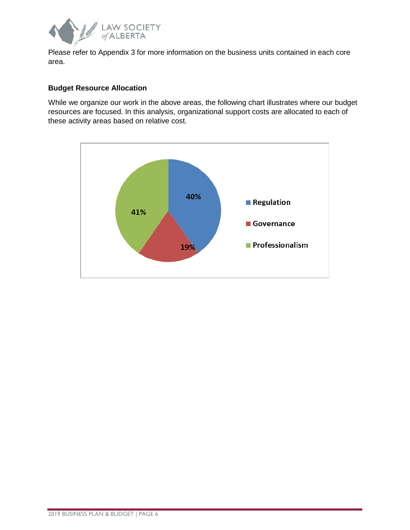

Please refer to Appendix 3 for more information on the business units contained in each core area.

#### **Budget Resource Allocation**

While we organize our work in the above areas, the following chart illustrates where our budget resources are focused. In this analysis, organizational support costs are allocated to each of these activity areas based on relative cost.

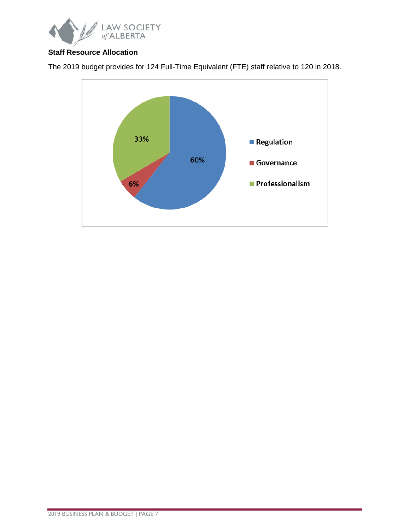

#### **Staff Resource Allocation**



The 2019 budget provides for 124 Full-Time Equivalent (FTE) staff relative to 120 in 2018.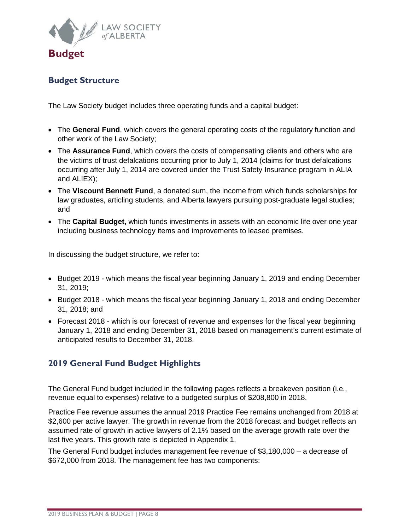

#### <span id="page-9-1"></span><span id="page-9-0"></span>**Budget Structure**

The Law Society budget includes three operating funds and a capital budget:

- The **General Fund**, which covers the general operating costs of the regulatory function and other work of the Law Society;
- The **Assurance Fund**, which covers the costs of compensating clients and others who are the victims of trust defalcations occurring prior to July 1, 2014 (claims for trust defalcations occurring after July 1, 2014 are covered under the Trust Safety Insurance program in ALIA and ALIEX);
- The **Viscount Bennett Fund**, a donated sum, the income from which funds scholarships for law graduates, articling students, and Alberta lawyers pursuing post-graduate legal studies; and
- The **Capital Budget,** which funds investments in assets with an economic life over one year including business technology items and improvements to leased premises.

In discussing the budget structure, we refer to:

- Budget 2019 which means the fiscal year beginning January 1, 2019 and ending December 31, 2019;
- Budget 2018 which means the fiscal year beginning January 1, 2018 and ending December 31, 2018; and
- Forecast 2018 which is our forecast of revenue and expenses for the fiscal year beginning January 1, 2018 and ending December 31, 2018 based on management's current estimate of anticipated results to December 31, 2018.

#### <span id="page-9-2"></span>**2019 General Fund Budget Highlights**

The General Fund budget included in the following pages reflects a breakeven position (i.e., revenue equal to expenses) relative to a budgeted surplus of \$208,800 in 2018.

Practice Fee revenue assumes the annual 2019 Practice Fee remains unchanged from 2018 at \$2,600 per active lawyer. The growth in revenue from the 2018 forecast and budget reflects an assumed rate of growth in active lawyers of 2.1% based on the average growth rate over the last five years. This growth rate is depicted in Appendix 1.

The General Fund budget includes management fee revenue of \$3,180,000 – a decrease of \$672,000 from 2018. The management fee has two components: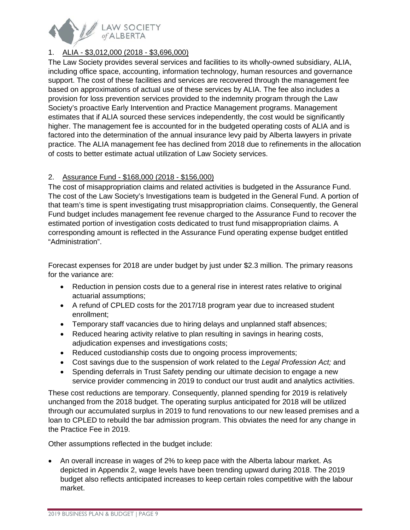

#### 1. ALIA - \$3,012,000 (2018 - \$3,696,000)

The Law Society provides several services and facilities to its wholly-owned subsidiary, ALIA, including office space, accounting, information technology, human resources and governance support. The cost of these facilities and services are recovered through the management fee based on approximations of actual use of these services by ALIA. The fee also includes a provision for loss prevention services provided to the indemnity program through the Law Society's proactive Early Intervention and Practice Management programs. Management estimates that if ALIA sourced these services independently, the cost would be significantly higher. The management fee is accounted for in the budgeted operating costs of ALIA and is factored into the determination of the annual insurance levy paid by Alberta lawyers in private practice. The ALIA management fee has declined from 2018 due to refinements in the allocation of costs to better estimate actual utilization of Law Society services.

#### 2. Assurance Fund - \$168,000 (2018 - \$156,000)

The cost of misappropriation claims and related activities is budgeted in the Assurance Fund. The cost of the Law Society's Investigations team is budgeted in the General Fund. A portion of that team's time is spent investigating trust misappropriation claims. Consequently, the General Fund budget includes management fee revenue charged to the Assurance Fund to recover the estimated portion of investigation costs dedicated to trust fund misappropriation claims. A corresponding amount is reflected in the Assurance Fund operating expense budget entitled "Administration".

Forecast expenses for 2018 are under budget by just under \$2.3 million. The primary reasons for the variance are:

- Reduction in pension costs due to a general rise in interest rates relative to original actuarial assumptions;
- A refund of CPLED costs for the 2017/18 program year due to increased student enrollment;
- Temporary staff vacancies due to hiring delays and unplanned staff absences;
- Reduced hearing activity relative to plan resulting in savings in hearing costs, adjudication expenses and investigations costs;
- Reduced custodianship costs due to ongoing process improvements;
- Cost savings due to the suspension of work related to the *Legal Profession Act;* and
- Spending deferrals in Trust Safety pending our ultimate decision to engage a new service provider commencing in 2019 to conduct our trust audit and analytics activities.

These cost reductions are temporary. Consequently, planned spending for 2019 is relatively unchanged from the 2018 budget. The operating surplus anticipated for 2018 will be utilized through our accumulated surplus in 2019 to fund renovations to our new leased premises and a loan to CPLED to rebuild the bar admission program. This obviates the need for any change in the Practice Fee in 2019.

Other assumptions reflected in the budget include:

• An overall increase in wages of 2% to keep pace with the Alberta labour market. As depicted in Appendix 2, wage levels have been trending upward during 2018. The 2019 budget also reflects anticipated increases to keep certain roles competitive with the labour market.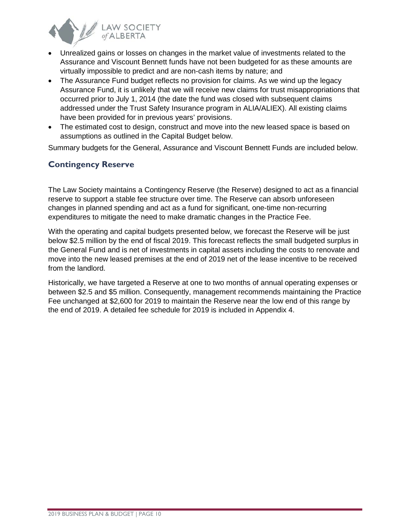

- Unrealized gains or losses on changes in the market value of investments related to the Assurance and Viscount Bennett funds have not been budgeted for as these amounts are virtually impossible to predict and are non-cash items by nature; and
- The Assurance Fund budget reflects no provision for claims. As we wind up the legacy Assurance Fund, it is unlikely that we will receive new claims for trust misappropriations that occurred prior to July 1, 2014 (the date the fund was closed with subsequent claims addressed under the Trust Safety Insurance program in ALIA/ALIEX). All existing claims have been provided for in previous years' provisions.
- The estimated cost to design, construct and move into the new leased space is based on assumptions as outlined in the Capital Budget below.

Summary budgets for the General, Assurance and Viscount Bennett Funds are included below.

#### <span id="page-11-0"></span>**Contingency Reserve**

The Law Society maintains a Contingency Reserve (the Reserve) designed to act as a financial reserve to support a stable fee structure over time. The Reserve can absorb unforeseen changes in planned spending and act as a fund for significant, one-time non-recurring expenditures to mitigate the need to make dramatic changes in the Practice Fee.

With the operating and capital budgets presented below, we forecast the Reserve will be just below \$2.5 million by the end of fiscal 2019. This forecast reflects the small budgeted surplus in the General Fund and is net of investments in capital assets including the costs to renovate and move into the new leased premises at the end of 2019 net of the lease incentive to be received from the landlord.

Historically, we have targeted a Reserve at one to two months of annual operating expenses or between \$2.5 and \$5 million. Consequently, management recommends maintaining the Practice Fee unchanged at \$2,600 for 2019 to maintain the Reserve near the low end of this range by the end of 2019. A detailed fee schedule for 2019 is included in Appendix 4.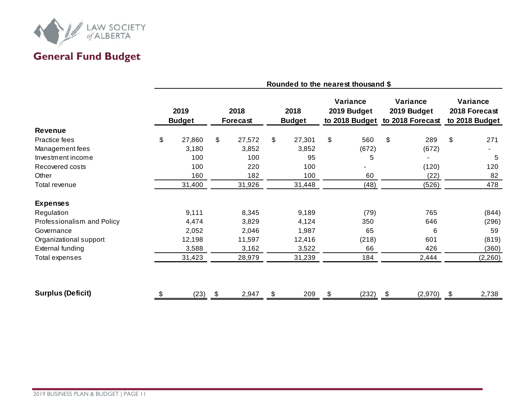

# **General Fund Budget**

<span id="page-12-0"></span>

|                            | Rounded to the nearest thousand \$ |                       |                         |        |                       |        |                                           |       |                                             |         |                                             |         |
|----------------------------|------------------------------------|-----------------------|-------------------------|--------|-----------------------|--------|-------------------------------------------|-------|---------------------------------------------|---------|---------------------------------------------|---------|
|                            |                                    | 2019<br><b>Budget</b> | 2018<br><b>Forecast</b> |        | 2018<br><b>Budget</b> |        | Variance<br>2019 Budget<br>to 2018 Budget |       | Variance<br>2019 Budget<br>to 2018 Forecast |         | Variance<br>2018 Forecast<br>to 2018 Budget |         |
| <b>Revenue</b>             |                                    |                       |                         |        |                       |        |                                           |       |                                             |         |                                             |         |
| Practice fees              | \$                                 | 27,860                | \$                      | 27,572 | \$                    | 27,301 | \$                                        | 560   | \$                                          | 289     | \$                                          | 271     |
| Management fees            |                                    | 3,180                 |                         | 3,852  |                       | 3,852  |                                           | (672) |                                             | (672)   |                                             |         |
| Investment income          |                                    | 100                   |                         | 100    |                       | 95     |                                           | 5     |                                             |         |                                             | 5       |
| Recovered costs            |                                    | 100                   |                         | 220    |                       | 100    |                                           |       |                                             | (120)   |                                             | 120     |
| Other                      |                                    | 160                   |                         | 182    |                       | 100    |                                           | 60    |                                             | (22)    |                                             | 82      |
| Total revenue              |                                    | 31,400                |                         | 31,926 |                       | 31,448 |                                           | (48)  |                                             | (526)   |                                             | 478     |
| <b>Expenses</b>            |                                    |                       |                         |        |                       |        |                                           |       |                                             |         |                                             |         |
| Regulation                 |                                    | 9,111                 |                         | 8,345  |                       | 9,189  |                                           | (79)  |                                             | 765     |                                             | (844)   |
| Professionalism and Policy |                                    | 4,474                 |                         | 3,829  |                       | 4,124  |                                           | 350   |                                             | 646     |                                             | (296)   |
| Governance                 |                                    | 2,052                 |                         | 2,046  |                       | 1,987  |                                           | 65    |                                             | 6       |                                             | 59      |
| Organizational support     |                                    | 12,198                |                         | 11,597 |                       | 12,416 |                                           | (218) |                                             | 601     |                                             | (819)   |
| <b>External funding</b>    |                                    | 3,588                 |                         | 3,162  |                       | 3,522  |                                           | 66    |                                             | 426     |                                             | (360)   |
| Total expenses             |                                    | 31,423                |                         | 28,979 |                       | 31,239 |                                           | 184   |                                             | 2,444   |                                             | (2,260) |
|                            |                                    |                       |                         |        |                       |        |                                           |       |                                             |         |                                             |         |
| <b>Surplus (Deficit)</b>   | \$                                 | (23)                  | \$                      | 2,947  | \$                    | 209    | \$                                        | (232) | \$                                          | (2,970) | \$                                          | 2,738   |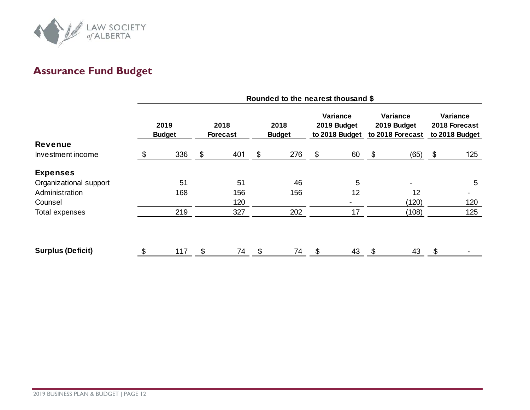

# **Assurance Fund Budget**

<span id="page-13-0"></span>

|                          | Rounded to the nearest thousand \$ |     |                         |     |                       |     |                                           |    |                                             |       |                                             |     |
|--------------------------|------------------------------------|-----|-------------------------|-----|-----------------------|-----|-------------------------------------------|----|---------------------------------------------|-------|---------------------------------------------|-----|
|                          | 2019<br><b>Budget</b>              |     | 2018<br><b>Forecast</b> |     | 2018<br><b>Budget</b> |     | Variance<br>2019 Budget<br>to 2018 Budget |    | Variance<br>2019 Budget<br>to 2018 Forecast |       | Variance<br>2018 Forecast<br>to 2018 Budget |     |
| <b>Revenue</b>           |                                    |     |                         |     |                       |     |                                           |    |                                             |       |                                             |     |
| Investment income        | \$                                 | 336 | \$                      | 401 | \$                    | 276 | \$                                        | 60 | -\$                                         | (65)  | - \$                                        | 125 |
| <b>Expenses</b>          |                                    |     |                         |     |                       |     |                                           |    |                                             |       |                                             |     |
| Organizational support   |                                    | 51  |                         | 51  |                       | 46  |                                           | 5  |                                             |       |                                             | 5   |
| Administration           |                                    | 168 |                         | 156 |                       | 156 |                                           | 12 |                                             | 12    |                                             |     |
| Counsel                  |                                    |     |                         | 120 |                       |     |                                           |    |                                             | (120) |                                             | 120 |
| Total expenses           |                                    | 219 |                         | 327 |                       | 202 |                                           | 17 |                                             | (108) |                                             | 125 |
|                          |                                    |     |                         |     |                       |     |                                           |    |                                             |       |                                             |     |
| <b>Surplus (Deficit)</b> |                                    | 117 | \$                      | 74  | \$.                   | 74  |                                           | 43 | \$                                          | 43    |                                             |     |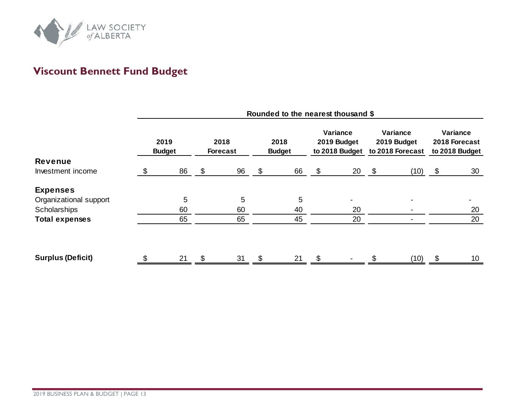

# **Viscount Bennett Fund Budget**

<span id="page-14-0"></span>

|                          | Rounded to the nearest thousand \$ |    |                         |    |                       |    |                                           |    |                                             |      |                                             |                 |
|--------------------------|------------------------------------|----|-------------------------|----|-----------------------|----|-------------------------------------------|----|---------------------------------------------|------|---------------------------------------------|-----------------|
|                          | 2019<br><b>Budget</b>              |    | 2018<br><b>Forecast</b> |    | 2018<br><b>Budget</b> |    | Variance<br>2019 Budget<br>to 2018 Budget |    | Variance<br>2019 Budget<br>to 2018 Forecast |      | Variance<br>2018 Forecast<br>to 2018 Budget |                 |
| <b>Revenue</b>           |                                    |    |                         |    |                       |    |                                           |    |                                             |      |                                             |                 |
| Investment income        | \$                                 | 86 | \$                      | 96 | \$                    | 66 | $\boldsymbol{\mathsf{S}}$                 | 20 | $\sim$                                      | (10) | \$                                          | 30              |
| <b>Expenses</b>          |                                    |    |                         |    |                       |    |                                           |    |                                             |      |                                             |                 |
| Organizational support   |                                    | 5  |                         | 5  |                       | 5  |                                           |    |                                             |      |                                             |                 |
| Scholarships             |                                    | 60 |                         | 60 |                       | 40 |                                           | 20 |                                             |      |                                             | 20              |
| <b>Total expenses</b>    |                                    | 65 |                         | 65 |                       | 45 |                                           | 20 |                                             |      |                                             | 20              |
| <b>Surplus (Deficit)</b> |                                    | 21 |                         | 31 |                       | 21 |                                           |    |                                             | (10) |                                             | 10 <sup>°</sup> |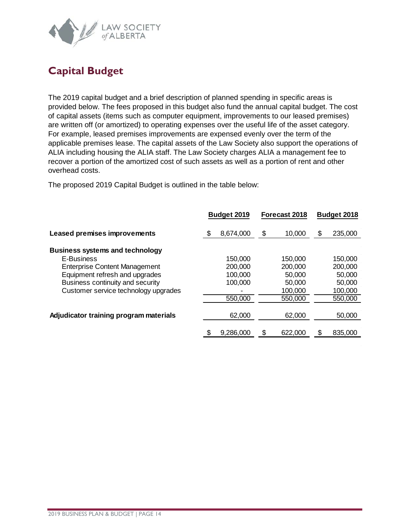

## <span id="page-15-0"></span>**Capital Budget**

The 2019 capital budget and a brief description of planned spending in specific areas is provided below. The fees proposed in this budget also fund the annual capital budget. The cost of capital assets (items such as computer equipment, improvements to our leased premises) are written off (or amortized) to operating expenses over the useful life of the asset category. For example, leased premises improvements are expensed evenly over the term of the applicable premises lease. The capital assets of the Law Society also support the operations of ALIA including housing the ALIA staff. The Law Society charges ALIA a management fee to recover a portion of the amortized cost of such assets as well as a portion of rent and other overhead costs.

The proposed 2019 Capital Budget is outlined in the table below:

|                                        |     | Budget 2019 | Forecast 2018 | Budget 2018   |
|----------------------------------------|-----|-------------|---------------|---------------|
| <b>Leased premises improvements</b>    | \$. | 8,674,000   | \$<br>10,000  | \$<br>235,000 |
| <b>Business systems and technology</b> |     |             |               |               |
| E-Business                             |     | 150,000     | 150,000       | 150,000       |
| <b>Enterprise Content Management</b>   |     | 200,000     | 200,000       | 200,000       |
| Equipment refresh and upgrades         |     | 100,000     | 50,000        | 50,000        |
| Business continuity and security       |     | 100,000     | 50,000        | 50,000        |
| Customer service technology upgrades   |     |             | 100,000       | 100,000       |
|                                        |     | 550,000     | 550,000       | 550,000       |
|                                        |     |             |               |               |
| Adjudicator training program materials |     | 62,000      | 62,000        | 50,000        |
|                                        |     |             |               |               |
|                                        |     | 9,286,000   | 622,000       | \$<br>835,000 |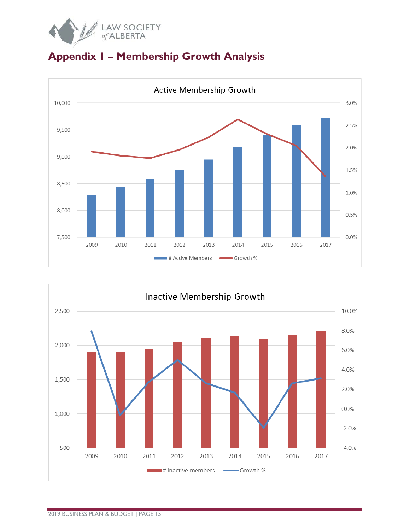

<span id="page-16-0"></span>



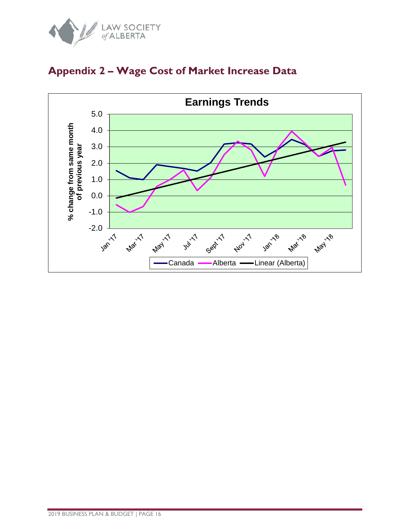



### <span id="page-17-0"></span>**Appendix 2 – Wage Cost of Market Increase Data**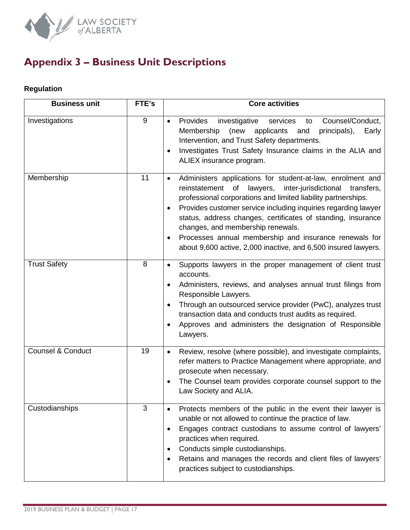

# <span id="page-18-0"></span>**Appendix 3 – Business Unit Descriptions**

#### **Regulation**

| <b>Business unit</b>         | FTE's | <b>Core activities</b>                                                                                                                                                                                                                                                                                                                                                                                                                                                                                                         |
|------------------------------|-------|--------------------------------------------------------------------------------------------------------------------------------------------------------------------------------------------------------------------------------------------------------------------------------------------------------------------------------------------------------------------------------------------------------------------------------------------------------------------------------------------------------------------------------|
| Investigations               | 9     | Provides<br>Counsel/Conduct,<br>investigative<br>services<br>to<br>$\bullet$<br>Membership<br>(new<br>applicants<br>and<br>principals),<br>Early<br>Intervention, and Trust Safety departments.<br>Investigates Trust Safety Insurance claims in the ALIA and<br>$\bullet$<br>ALIEX insurance program.                                                                                                                                                                                                                         |
| Membership                   | 11    | Administers applications for student-at-law, enrolment and<br>$\bullet$<br>inter-jurisdictional<br>reinstatement of<br>lawyers,<br>transfers,<br>professional corporations and limited liability partnerships.<br>Provides customer service including inquiries regarding lawyer<br>$\bullet$<br>status, address changes, certificates of standing, insurance<br>changes, and membership renewals.<br>Processes annual membership and insurance renewals for<br>about 9,600 active, 2,000 inactive, and 6,500 insured lawyers. |
| <b>Trust Safety</b>          | 8     | Supports lawyers in the proper management of client trust<br>accounts.<br>Administers, reviews, and analyses annual trust filings from<br>$\bullet$<br>Responsible Lawyers.<br>Through an outsourced service provider (PwC), analyzes trust<br>$\bullet$<br>transaction data and conducts trust audits as required.<br>Approves and administers the designation of Responsible<br>$\bullet$<br>Lawyers.                                                                                                                        |
| <b>Counsel &amp; Conduct</b> | 19    | Review, resolve (where possible), and investigate complaints,<br>$\bullet$<br>refer matters to Practice Management where appropriate, and<br>prosecute when necessary.<br>The Counsel team provides corporate counsel support to the<br>Law Society and ALIA.                                                                                                                                                                                                                                                                  |
| Custodianships               | 3     | Protects members of the public in the event their lawyer is<br>unable or not allowed to continue the practice of law.<br>Engages contract custodians to assume control of lawyers'<br>$\bullet$<br>practices when required.<br>Conducts simple custodianships.<br>Retains and manages the records and client files of lawyers'<br>$\bullet$<br>practices subject to custodianships.                                                                                                                                            |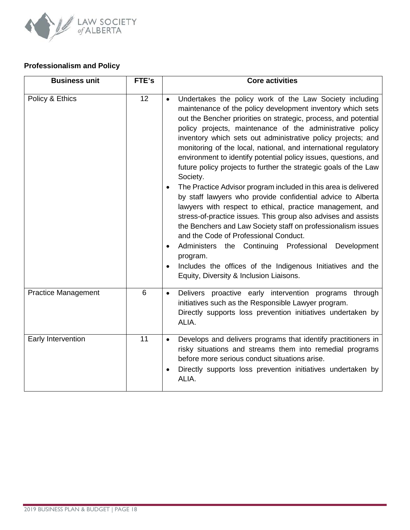

#### **Professionalism and Policy**

| <b>Business unit</b>       | FTE's           | <b>Core activities</b>                                                                                                                                                                                                                                                                                                                                                                                                                                                                                                                                                                                                                                                                                                                                                                                                                                                                                                                                                                                                                                                                                                      |
|----------------------------|-----------------|-----------------------------------------------------------------------------------------------------------------------------------------------------------------------------------------------------------------------------------------------------------------------------------------------------------------------------------------------------------------------------------------------------------------------------------------------------------------------------------------------------------------------------------------------------------------------------------------------------------------------------------------------------------------------------------------------------------------------------------------------------------------------------------------------------------------------------------------------------------------------------------------------------------------------------------------------------------------------------------------------------------------------------------------------------------------------------------------------------------------------------|
| Policy & Ethics            | 12              | Undertakes the policy work of the Law Society including<br>maintenance of the policy development inventory which sets<br>out the Bencher priorities on strategic, process, and potential<br>policy projects, maintenance of the administrative policy<br>inventory which sets out administrative policy projects; and<br>monitoring of the local, national, and international regulatory<br>environment to identify potential policy issues, questions, and<br>future policy projects to further the strategic goals of the Law<br>Society.<br>The Practice Advisor program included in this area is delivered<br>by staff lawyers who provide confidential advice to Alberta<br>lawyers with respect to ethical, practice management, and<br>stress-of-practice issues. This group also advises and assists<br>the Benchers and Law Society staff on professionalism issues<br>and the Code of Professional Conduct.<br>Administers the Continuing Professional Development<br>$\bullet$<br>program.<br>Includes the offices of the Indigenous Initiatives and the<br>$\bullet$<br>Equity, Diversity & Inclusion Liaisons. |
| <b>Practice Management</b> | $6\phantom{1}6$ | Delivers proactive early intervention programs through<br>$\bullet$<br>initiatives such as the Responsible Lawyer program.<br>Directly supports loss prevention initiatives undertaken by<br>ALIA.                                                                                                                                                                                                                                                                                                                                                                                                                                                                                                                                                                                                                                                                                                                                                                                                                                                                                                                          |
| Early Intervention         | 11              | Develops and delivers programs that identify practitioners in<br>risky situations and streams them into remedial programs<br>before more serious conduct situations arise.<br>Directly supports loss prevention initiatives undertaken by<br>ALIA.                                                                                                                                                                                                                                                                                                                                                                                                                                                                                                                                                                                                                                                                                                                                                                                                                                                                          |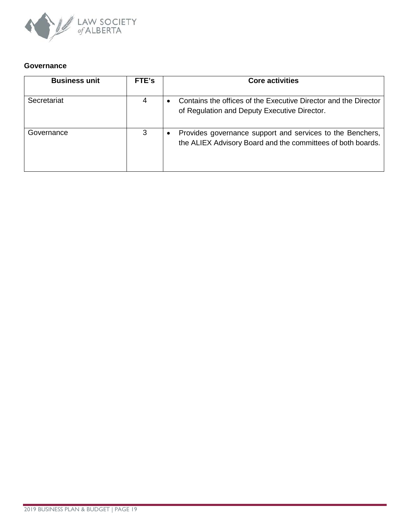

#### **Governance**

| <b>Business unit</b> | FTE's | <b>Core activities</b>                                                                                                   |
|----------------------|-------|--------------------------------------------------------------------------------------------------------------------------|
| Secretariat          |       | Contains the offices of the Executive Director and the Director<br>of Regulation and Deputy Executive Director.          |
| Governance           |       | Provides governance support and services to the Benchers,<br>the ALIEX Advisory Board and the committees of both boards. |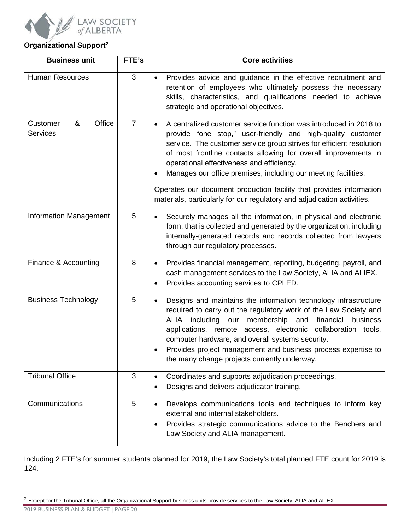

#### **Organizational Support[2](#page-21-0)**

| <b>Business unit</b>                       | FTE's          | <b>Core activities</b>                                                                                                                                                                                                                                                                                                                                                                                                                                                                                                                                    |
|--------------------------------------------|----------------|-----------------------------------------------------------------------------------------------------------------------------------------------------------------------------------------------------------------------------------------------------------------------------------------------------------------------------------------------------------------------------------------------------------------------------------------------------------------------------------------------------------------------------------------------------------|
| <b>Human Resources</b>                     | $\overline{3}$ | Provides advice and guidance in the effective recruitment and<br>$\bullet$<br>retention of employees who ultimately possess the necessary<br>skills, characteristics, and qualifications needed to achieve<br>strategic and operational objectives.                                                                                                                                                                                                                                                                                                       |
| Office<br>&<br>Customer<br><b>Services</b> | $\overline{7}$ | A centralized customer service function was introduced in 2018 to<br>$\bullet$<br>provide "one stop," user-friendly and high-quality customer<br>service. The customer service group strives for efficient resolution<br>of most frontline contacts allowing for overall improvements in<br>operational effectiveness and efficiency.<br>Manages our office premises, including our meeting facilities.<br>Operates our document production facility that provides information<br>materials, particularly for our regulatory and adjudication activities. |
| <b>Information Management</b>              | 5              | Securely manages all the information, in physical and electronic<br>$\bullet$<br>form, that is collected and generated by the organization, including<br>internally-generated records and records collected from lawyers<br>through our regulatory processes.                                                                                                                                                                                                                                                                                             |
| Finance & Accounting                       | 8              | Provides financial management, reporting, budgeting, payroll, and<br>$\bullet$<br>cash management services to the Law Society, ALIA and ALIEX.<br>Provides accounting services to CPLED.<br>$\bullet$                                                                                                                                                                                                                                                                                                                                                     |
| <b>Business Technology</b>                 | 5              | Designs and maintains the information technology infrastructure<br>$\bullet$<br>required to carry out the regulatory work of the Law Society and<br>including<br>our membership and financial<br>ALIA<br>business<br>applications, remote access, electronic collaboration tools,<br>computer hardware, and overall systems security.<br>Provides project management and business process expertise to<br>the many change projects currently underway.                                                                                                    |
| <b>Tribunal Office</b>                     | 3              | Coordinates and supports adjudication proceedings.<br>$\bullet$<br>Designs and delivers adjudicator training.<br>$\bullet$                                                                                                                                                                                                                                                                                                                                                                                                                                |
| Communications                             | 5              | Develops communications tools and techniques to inform key<br>$\bullet$<br>external and internal stakeholders.<br>Provides strategic communications advice to the Benchers and<br>٠<br>Law Society and ALIA management.                                                                                                                                                                                                                                                                                                                                   |

Including 2 FTE's for summer students planned for 2019, the Law Society's total planned FTE count for 2019 is 124.

<span id="page-21-0"></span> $2$  Except for the Tribunal Office, all the Organizational Support business units provide services to the Law Society, ALIA and ALIEX.